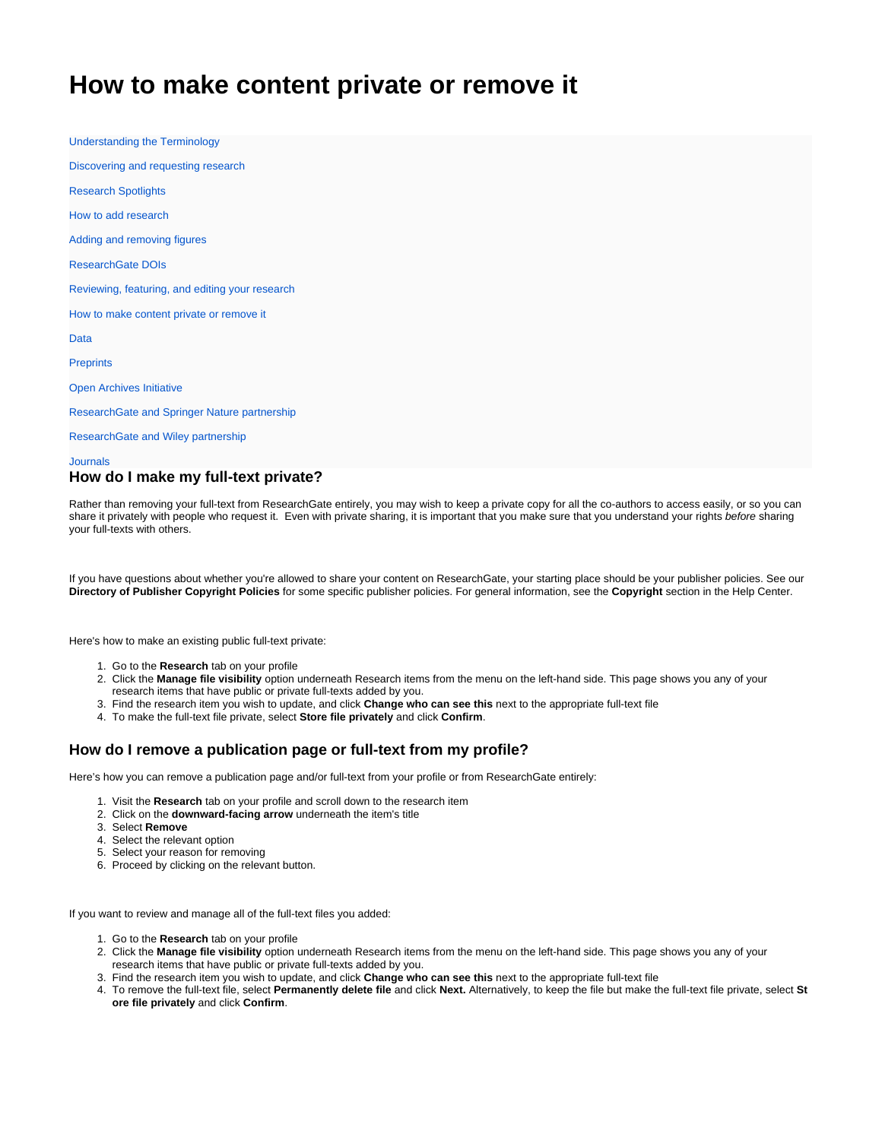# <span id="page-0-0"></span>**How to make content private or remove it**

[Understanding the Terminology](https://explore.researchgate.net/display/support/Understanding+the+terminology) [Discovering and requesting research](https://explore.researchgate.net/display/support/Discovering+and+requesting+research) [Research Spotlights](https://explore.researchgate.net/display/support/Research+Spotlights) [How to add research](https://explore.researchgate.net/display/support/How+to+add+research) [Adding and removing figures](https://explore.researchgate.net/display/support/Adding+and+removing+figures) [ResearchGate DOIs](https://explore.researchgate.net/display/support/ResearchGate+DOIs) [Reviewing, featuring, and editing your research](https://explore.researchgate.net/display/support/Reviewing%2C+featuring%2C+and+editing+your+research) [How to make content private or remove it](#page-0-0) [Data](https://explore.researchgate.net/display/support/Data) **[Preprints](https://explore.researchgate.net/display/support/Preprints)** [Open Archives Initiative](https://explore.researchgate.net/display/support/Open+Archives+Initiative) [ResearchGate and Springer Nature partnership](https://explore.researchgate.net/display/support/ResearchGate+and+Springer+Nature+partnership) [ResearchGate and Wiley partnership](https://explore.researchgate.net/display/support/ResearchGate+and+Wiley+partnership)

#### [Journals](https://explore.researchgate.net/display/support/Journals)

### **How do I make my full-text private?**

Rather than removing your full-text from ResearchGate entirely, you may wish to keep a private copy for all the co-authors to access easily, or so you can share it privately with people who request it. Even with private sharing, it is important that you make sure that you understand your rights before sharing your full-texts with others.

If you have questions about whether you're allowed to share your content on ResearchGate, your starting place should be your publisher policies. See our **[Directory of Publisher Copyright Policies](https://explore.researchgate.net/display/support/Directory+of+Publisher+Copyright+Policies)** for some specific publisher policies. For general information, see the **[Copyright](https://explore.researchgate.net/display/support/Copyright)** section in the Help Center.

Here's how to make an existing public full-text private:

- 1. Go to the **[Research](https://www.researchgate.net/go.Profile.contributions.html)** tab on your profile
- 2. Click the **[Manage file visibility](https://www.researchgate.net/go.Profile.files.html)** option underneath Research items from the menu on the left-hand side. This page shows you any of your research items that have public or private full-texts added by you.
- 3. Find the research item you wish to update, and click **Change who can see this** next to the appropriate full-text file
- 4. To make the full-text file private, select **Store file privately** and click **Confirm**.

#### **How do I remove a publication page or full-text from my profile?**

Here's how you can remove a publication page and/or full-text from your profile or from ResearchGate entirely:

- 1. Visit the **[Research](https://www.researchgate.net/go.Profile.contributions.html)** tab on your profile and scroll down to the research item
- 2. Click on the **downward-facing arrow** underneath the item's title
- 3. Select **Remove**
- 4. Select the relevant option
- 5. Select your reason for removing
- 6. Proceed by clicking on the relevant button.

If you want to review and manage all of the full-text files you added:

- 1. Go to the **[Research](https://www.researchgate.net/go.Profile.contributions.html)** tab on your profile
- 2. Click the **[Manage file visibility](https://www.researchgate.net/go.Profile.files.html)** option underneath Research items from the menu on the left-hand side. This page shows you any of your research items that have public or private full-texts added by you.
- 3. Find the research item you wish to update, and click **Change who can see this** next to the appropriate full-text file
- 4. To remove the full-text file, select **Permanently delete file** and click **Next.** Alternatively, to keep the file but make the full-text file private, select **St ore file privately** and click **Confirm**.